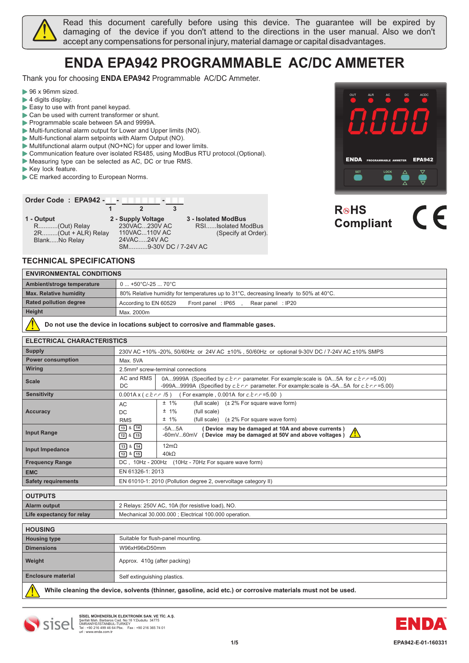

Read this document carefully before using this device. The guarantee will be expired by damaging of the device if you don't attend to the directions in the user manual. Also we don't accept any compensations for personal injury, material damage or capital disadvantages.

# **ENDA EPA942 PROGRAMMABLE AC/DC AMMETER**

Thank you for choosing **ENDA EPA942** Programmable AC/DC Ammeter.

- 96 x 96mm sized.
- ▶ 4 digits display.
- Easy to use with front panel keypad.
- Can be used with current transformer or shunt.
- Programmable scale between 5A and 9999A.
- Multi-functional alarm output for Lower and Upper limits (NO).
- Multi-functional alarm setpoints with Alarm Output (NO).
- ▶ Multifunctional alarm output (NO+NC) for upper and lower limits.
- Communication feature over isolated RS485, using ModBus RTU protocol.(Optional).

**1 2 3**

- Measuring type can be selected as AC, DC or true RMS.
- Key lock feature.
- CE marked according to European Norms.

### **Order Code : EPA942 - - -**

**1 -** R...........(Out) Relay 2R.........(Out + ALR) Relay Blank.....No Relay

**2 - Supply Voltage** 230VAC...230V AC 110VAC...110V AC 24VAC.....24V AC SM...........9-30V DC / 7-24V AC

**Output 3 - Isolated ModBus** (Specify at Order). RSI......Isolated ModBus



# R⊛HS **Compliant**

#### **TECHNICAL SPECIFICATIONS**

| $\overline{\phantom{a}}$        |
|---------------------------------|
|                                 |
|                                 |
| <b>ENVIRONMENTAL CONDITIONS</b> |

| <b>ENVIRONMENTAL CONDITIONS</b> |                                                                                        |
|---------------------------------|----------------------------------------------------------------------------------------|
| Ambient/stroge temperature      | $0+50^{\circ}C/-2570^{\circ}C$                                                         |
| <b>Max. Relative humidity</b>   | 80% Relative humidity for temperatures up to 31°C, decreasing linearly to 50% at 40°C. |
| <b>Rated pollution degree</b>   | According to EN 60529<br>Rear panel: IP20<br>Front panel: IP65                         |
| Height                          | Max. 2000m                                                                             |
| .                               |                                                                                        |

 **Do not use the device in locations subject to corrosive and flammable gases.**  $\sqrt{N}$ 

| <b>ELECTRICAL CHARACTERISTICS</b> |                                           |                                                                                                                                                                                                       |  |
|-----------------------------------|-------------------------------------------|-------------------------------------------------------------------------------------------------------------------------------------------------------------------------------------------------------|--|
| <b>Supply</b>                     |                                           | 230V AC +10% -20%, 50/60Hz or 24V AC ±10%, 50/60Hz or optional 9-30V DC / 7-24V AC ±10% SMPS                                                                                                          |  |
| <b>Power consumption</b>          | Max. 5VA                                  |                                                                                                                                                                                                       |  |
| <b>Wiring</b>                     |                                           | 2.5mm <sup>2</sup> screw-terminal connections                                                                                                                                                         |  |
| <b>Scale</b>                      | AC and RMS<br>DC.                         | 0A9999A (Specified by $c, b, r$ parameter. For example: scale is 0A5A for $c, b, r$ = 5.00)<br>-999A9999A (Specified by $c, b, c, r$ parameter. For example: scale is -5A5A for $c, b, c, r = 5.00$ ) |  |
| <b>Sensitivity</b>                | $0.001A \times (c.f.r.r. /5)$             | (For example, 0.001A for $c, b, r = 5.00$ )                                                                                                                                                           |  |
| Accuracy                          | AC<br>DC<br><b>RMS</b>                    | $± 1\%$<br>(full scale) $(\pm 2\%$ For square wave form)<br>$± 1\%$<br>(full scale)<br>$± 1\%$<br>(full scale) (± 2% For square wave form)                                                            |  |
| <b>Input Range</b>                | $138$ $44$<br>$12$ & $15$                 | -5A5A<br>(Device may be damaged at 10A and above currents)<br><b>AN</b><br>$-60$ m $V60$ m $V$ (Device may be damaged at 50V and above voltages)                                                      |  |
| Input Impedance                   | $138$ $14$<br>$\boxed{12}$ & $\boxed{15}$ | $12m\Omega$<br>$40k\Omega$                                                                                                                                                                            |  |
| <b>Frequency Range</b>            | DC, 10Hz - 200Hz                          | (10Hz - 70Hz For square wave form)                                                                                                                                                                    |  |
| <b>EMC</b>                        | EN 61326-1: 2013                          |                                                                                                                                                                                                       |  |
| <b>Safety requirements</b>        |                                           | EN 61010-1: 2010 (Pollution degree 2, overvoltage category II)                                                                                                                                        |  |
| $\bigcap$                         |                                           |                                                                                                                                                                                                       |  |

| <b>OUTPUTS</b>            |                                                      |
|---------------------------|------------------------------------------------------|
| <b>Alarm output</b>       | 2 Relays: 250V AC, 10A (for resistive load), NO.     |
| Life expectancy for relay | Mechanical 30.000.000; Electrical 100.000 operation. |
|                           |                                                      |

| <b>HOUSING</b>            |                                                                                                             |
|---------------------------|-------------------------------------------------------------------------------------------------------------|
| <b>Housing type</b>       | Suitable for flush-panel mounting.                                                                          |
| <b>Dimensions</b>         | W96xH96xD50mm                                                                                               |
| Weight                    | Approx. 410g (after packing)                                                                                |
| <b>Enclosure material</b> | Self extinguishing plastics.                                                                                |
|                           | While cleaning the device, solvents (thinner, gasoline, acid etc.) or corrosive materials must not be used. |



SISEL MÜHENDISLIK ELEKTRONIK SAN. VE TIC. A.Ş.<br>Şerifali Mah. Barbaros Cad. No:18 Y.Dudullu 34775<br>ÜMRANİYE/İSTANBUL-TURKEY<br>Tel : +90 216 499 46 64 Pbx. Fax : +90 216 365 74 01<br>url : www.enda.com.tr Barbaros Cad. No:18

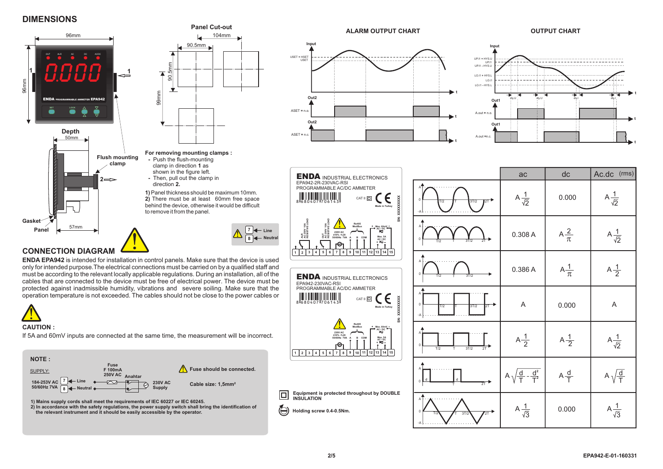#### **DIMENSIONS**







**CAUTION :** 

If 5A and 60mV inputs are connected at the same time, the measurement will be incorrect.



**1) Mains supply cords shall meet the requirements of IEC 60227 or IEC 60245.**

**2) In accordance with the safety regulations, the power supply switch shall bring the identification of the relevant instrument and it should be easily accessible by the operator.**





| <b>ENDA INDUSTRIAL ELECTRONICS</b>                                                                                                                                                                                                                            |                                                   | ac                                      | dc               | Ac.dc (rms)            |
|---------------------------------------------------------------------------------------------------------------------------------------------------------------------------------------------------------------------------------------------------------------|---------------------------------------------------|-----------------------------------------|------------------|------------------------|
| EPA942-2R-230VAC-RSI<br>PROGRAMMABLE AC/DC AMMETER<br>SN: XXXXXXXXX<br>CAT II $\square$<br>8 8 8 9 4 0 7 17 0 6 1 4 3<br>Made in Turkey                                                                                                                       | $\mathsf{A}^4$<br>$\Omega$<br>2T<br>3T/2<br>T/2   | A $\frac{1}{\sqrt{2}}$                  | 0.000            | $A\frac{1}{\sqrt{2}}$  |
| ALR<br>AC 250V 10A<br>RESISTIVE LOAD<br>OUT<br>AC 250V10A<br>RESISTIVE LOAD<br>Rs485<br>ModBus<br>$\frac{Max.60mV}{AC/DC}$<br>230V AC<br>±10% -%20<br>50/60Hz 7VA<br>Max. 5A<br>B COM<br>A<br>$AC/DC + C$<br>ℯ                                                | Α<br>3T/2<br>T/2                                  | 0.308 A                                 | $A\frac{2}{\pi}$ | A $\frac{1}{\sqrt{2}}$ |
| 8<br>$10\,$<br>11<br>$12\,$<br>13<br>14 15<br>$\mathbf 2$<br>$\mathbf{3}$<br>$\bf{4}$<br>$\mathbf 5$<br>$\,$ 6<br>$\overline{7}$<br>$\boldsymbol{9}$<br><b>ENDA INDUSTRIAL ELECTRONICS</b><br>EPA942-230VAC-RSI                                               | А<br>$\mathbf 0$<br>3T/2<br>T/2                   | 0.386 A                                 | $A\frac{1}{\pi}$ | $A\frac{1}{2}$         |
| PROGRAMMABLE AC/DC AMMETER<br>SN: XXXXXXXXX<br>CAT II<br>Made in Turkey                                                                                                                                                                                       | A<br>$\mathbf 0$<br>3T/2<br>2T<br>T/2<br>-A       | A<br>A<br>0.000                         |                  |                        |
| <b>Rs485</b><br>ModBus<br>Max 60mV<br>AC / DC<br>230V AC<br>±10% -%20<br>50/60Hz 7VA<br>B COM<br>Max. 5A<br>A<br>AC/DC<br>ℯ<br>10<br>11<br>$12$ 13<br>14 15<br>3<br>$\mathbf 5$<br>$\bf{6}$<br>$\overline{7}$<br>8<br>9<br>$\overline{2}$<br>$\boldsymbol{4}$ | Δ<br>3T/2<br>2T<br>T/2<br>T                       | $A\frac{1}{2}$                          | $A\frac{1}{2}$   | $A\frac{1}{\sqrt{2}}$  |
|                                                                                                                                                                                                                                                               | А<br>$\mathsf{d}$<br>$\Omega$<br>$\overline{2}$ T | $\frac{d^2}{T^2}$<br>$\frac{d}{ }$<br>A | $A\frac{d}{T}$   | $\frac{d}{T}$<br>A,    |
| quipment is protected throughout by DOUBLE<br>NSULATION<br>lolding screw 0.4-0.5Nm.                                                                                                                                                                           | Α<br>$\Omega$<br>$\overline{2T}$<br>3T/2          | A $\frac{1}{\sqrt{3}}$                  | 0.000            | A $\frac{1}{\sqrt{3}}$ |

**1 2 3 4 5 6 7 8 9 10 11 12 13 14 15**

**Equipment is protected through** 

**Holding screw 0.4-0.5Nm.**

**INSULATION**

回  $\bigoplus$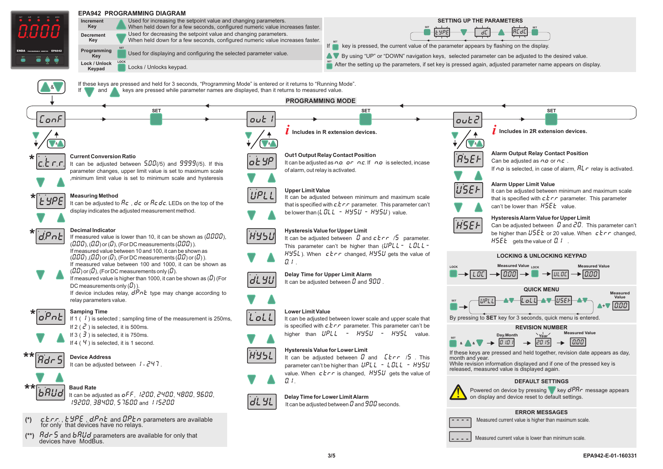

| (**) $Rdr$ 5 and $bRUd$ parameters are available for only that devices have ModBus. |
|-------------------------------------------------------------------------------------|
|                                                                                     |

Measured current value is lower than minimum scale.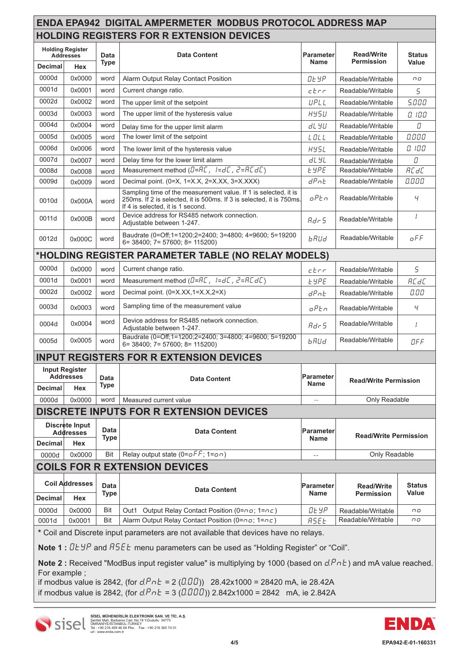|                                             |                              |                     | <b>ENDA EPA942 DIGITAL AMPERMETER MODBUS PROTOCOL ADDRESS MAP</b><br><b>HOLDING REGISTERS FOR R EXTENSION DEVICES</b>                                                        |                                 |                                        |                        |
|---------------------------------------------|------------------------------|---------------------|------------------------------------------------------------------------------------------------------------------------------------------------------------------------------|---------------------------------|----------------------------------------|------------------------|
| <b>Holding Register</b><br><b>Addresses</b> |                              | Data                | <b>Data Content</b>                                                                                                                                                          | <b>Parameter</b>                | <b>Read/Write</b>                      | <b>Status</b>          |
| <b>Decimal</b>                              | Hex                          | <b>Type</b>         |                                                                                                                                                                              | <b>Name</b>                     | <b>Permission</b>                      | <b>Value</b>           |
| 0000d                                       | 0x0000                       | word                | Alarm Output Relay Contact Position                                                                                                                                          | Ot YP                           | Readable/Writable                      | ΠO                     |
| 0001d                                       | 0x0001                       | word                | Current change ratio.                                                                                                                                                        | $c$ <i>t</i> $r$                | Readable/Writable                      | 5                      |
| 0002d                                       | 0x0002                       | word                | The upper limit of the setpoint                                                                                                                                              | UPLL                            | Readable/Writable                      | 5.000                  |
| 0003d                                       | 0x0003                       | word                | The upper limit of the hysteresis value                                                                                                                                      | 895U                            | Readable/Writable                      | n ınn                  |
| 0004d                                       | 0x0004                       | word                | Delay time for the upper limit alarm                                                                                                                                         | 81 YU                           | Readable/Writable                      | D                      |
| 0005d                                       | 0x0005                       | word                | The lower limit of the setpoint                                                                                                                                              | LOLL                            | Readable/Writable                      | 0.000                  |
| 0006d                                       | 0x0006                       | word                | The lower limit of the hysteresis value                                                                                                                                      | <b>HY5L</b>                     | Readable/Writable                      | 0. 100                 |
| 0007d                                       | 0x0007                       | word                | Delay time for the lower limit alarm                                                                                                                                         | dL YL                           | Readable/Writable                      | $\it\mathrel{\cal D}$  |
| 0008d                                       | 0x0008                       | word                | Measurement method $(B=RL, I=dL, Z=RLdL)$                                                                                                                                    | <b>LYPE</b>                     | Readable/Writable                      | <b>AC dC</b>           |
| 0009d                                       | 0x0009                       | word                | Decimal point. (0=X, 1=X.X, 2=X.XX, 3=X.XXX)                                                                                                                                 | dPnt                            | Readable/Writable                      | 0.000                  |
| 0010d                                       | 0x000A                       | word                | Sampling time of the measurement value. If 1 is selected, it is<br>250ms. If 2 is selected, it is 500ms. If 3 is selected, it is 750ms.<br>If 4 is selected, it is 1 second. | oPEn                            | Readable/Writable                      | Ч                      |
| 0011d                                       | 0x000B                       | word                | Device address for RS485 network connection.<br>Adjustable between 1-247.                                                                                                    | Adc5                            | Readable/Writable                      | I                      |
| 0012d                                       | 0x000C                       | word                | Baudrate (0=Off;1=1200;2=2400; 3=4800; 4=9600; 5=19200<br>$6=38400$ ; $7=57600$ ; $8=115200$ )                                                                               | <i><b>bRUd</b></i>              | Readable/Writable                      | oFF                    |
|                                             |                              |                     | *HOLDING REGISTER PARAMETER TABLE (NO RELAY MODELS)                                                                                                                          |                                 |                                        |                        |
| 0000d                                       | 0x0000                       | word                | Current change ratio.                                                                                                                                                        | ctrr                            | Readable/Writable                      | 5                      |
| 0001d                                       | 0x0001                       | word                | Measurement method $(B=RL, I=dL, Z=RLdL)$                                                                                                                                    | <b>LYPE</b>                     | Readable/Writable                      | <b>AC dC</b>           |
| 0002d                                       | 0x0002                       | word                | Decimal point. (0=X.XX,1=X.X,2=X)                                                                                                                                            | dPot                            | Readable/Writable                      | 0.00                   |
| 0003d                                       | 0x0003                       | word                | Sampling time of the measurement value                                                                                                                                       | oPEn                            | Readable/Writable                      | Ч                      |
| 0004d                                       | 0x0004                       | word                | Device address for RS485 network connection.<br>Adjustable between 1-247.                                                                                                    | Adr 5                           | Readable/Writable                      | $\prime$               |
| 0005d                                       | 0x0005                       | word                | Baudrate (0=Off;1=1200;2=2400; 3=4800; 4=9600; 5=19200<br>$6=38400; 7=57600; 8=115200)$                                                                                      | <i><b>bRUd</b></i>              | Readable/Writable                      | OFF                    |
|                                             |                              |                     | <b>INPUT REGISTERS FOR R EXTENSION DEVICES</b>                                                                                                                               |                                 |                                        |                        |
| <b>Input Register</b><br><b>Addresses</b>   |                              | Data<br><b>Type</b> | <b>Data Content</b>                                                                                                                                                          | <b>Parameter</b><br><b>Name</b> | <b>Read/Write Permission</b>           |                        |
| <b>Decimal</b>                              | <b>Hex</b>                   |                     |                                                                                                                                                                              |                                 |                                        |                        |
| 0000d                                       | 0x0000                       | word                | Measured current value                                                                                                                                                       | $-$                             | Only Readable                          |                        |
|                                             |                              |                     | <b>DISCRETE INPUTS FOR R EXTENSION DEVICES</b>                                                                                                                               |                                 |                                        |                        |
| Discrete Input<br><b>Addresses</b>          |                              | Data<br><b>Type</b> | <b>Data Content</b>                                                                                                                                                          | <b>Parameter</b><br><b>Name</b> | <b>Read/Write Permission</b>           |                        |
| Decimal<br>0000d                            | Hex<br>0x0000                | Bit                 | Relay output state ( $0 = \sigma FF$ ; $1 = \sigma T$ )                                                                                                                      | $-\,-$                          | Only Readable                          |                        |
|                                             |                              |                     | <b>COILS FOR R EXTENSION DEVICES</b>                                                                                                                                         |                                 |                                        |                        |
|                                             |                              |                     |                                                                                                                                                                              |                                 |                                        |                        |
| <b>Decimal</b>                              | <b>Coil Addresses</b><br>Hex | Data<br><b>Type</b> | <b>Data Content</b>                                                                                                                                                          | <b>Parameter</b><br><b>Name</b> | <b>Read/Write</b><br><b>Permission</b> | <b>Status</b><br>Value |
| 0000d                                       | 0x0000                       | Bit                 | Out1 Output Relay Contact Position (0=no; 1=nc)                                                                                                                              | Ot YP                           | Readable/Writable                      | ΠO                     |
| 0001d                                       | 0x0001                       | Bit                 | Alarm Output Relay Contact Position (0=no; 1=nc)                                                                                                                             | <b>ASEE</b>                     | Readable/Writable                      | пo                     |
|                                             |                              |                     | * Coil and Discrete input parameters are not available that devices have no relays.                                                                                          |                                 |                                        |                        |

Note 1 :  $0E5P$  and  $B5EE$  menu parameters can be used as "Holding Register" or "Coil".

Note 2 : Received "ModBus input register value" is multiplying by 1000 (based on  $dPnE$ ) and mA value reached. For example ;

if modbus value is 2842, (for  $d.Pr = 2 (0.00)$ ) 28.42x1000 = 28420 mA, ie 28.42A if modbus value is 2842, (for  $d.Prb = 3$  ( $0.000$ )) 2.842x1000 = 2842 mA, ie 2.842A